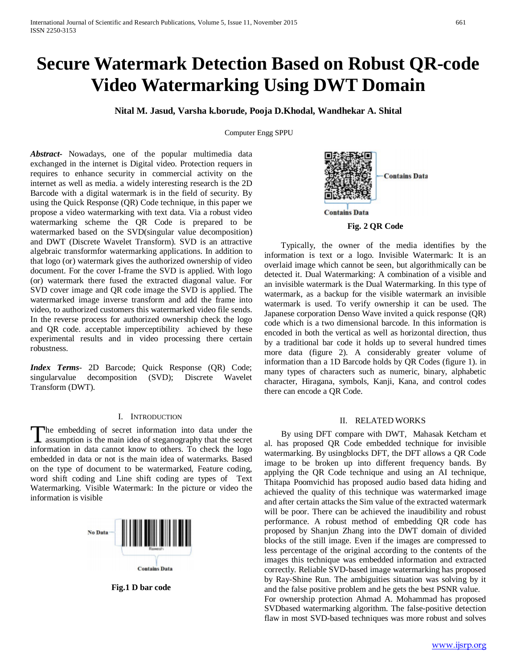# **Secure Watermark Detection Based on Robust QR-code Video Watermarking Using DWT Domain**

**Nital M. Jasud, Varsha k.borude, Pooja D.Khodal, Wandhekar A. Shital**

Computer Engg SPPU

*Abstract***-** Nowadays, one of the popular multimedia data exchanged in the internet is Digital video. Protection requers in requires to enhance security in commercial activity on the internet as well as media. a widely interesting research is the 2D Barcode with a digital watermark is in the field of security. By using the Quick Response (QR) Code technique, in this paper we propose a video watermarking with text data. Via a robust video watermarking scheme the QR Code is prepared to be watermarked based on the SVD(singular value decomposition) and DWT (Discrete Wavelet Transform). SVD is an attractive algebraic transformfor watermarking applications. In addition to that logo (or) watermark gives the authorized ownership of video document. For the cover I-frame the SVD is applied. With logo (or) watermark there fused the extracted diagonal value. For SVD cover image and QR code image the SVD is applied. The watermarked image inverse transform and add the frame into video, to authorized customers this watermarked video file sends. In the reverse process for authorized ownership check the logo and QR code. acceptable imperceptibility achieved by these experimental results and in video processing there certain robustness.

*Index Terms*- 2D Barcode; Quick Response (QR) Code; singularvalue decomposition (SVD); Discrete Wavelet Transform (DWT).

# I. INTRODUCTION

he embedding of secret information into data under the The embedding of secret information into data under the assumption is the main idea of steganography that the secret information in data cannot know to others. To check the logo embedded in data or not is the main idea of watermarks. Based on the type of document to be watermarked, Feature coding, word shift coding and Line shift coding are types of Text Watermarking. Visible Watermark: In the picture or video the information is visible



**Fig.1 D bar code**



**Fig. 2 QR Code**

 Typically, the owner of the media identifies by the information is text or a logo. Invisible Watermark: It is an overlaid image which cannot be seen, but algorithmically can be detected it. Dual Watermarking: A combination of a visible and an invisible watermark is the Dual Watermarking. In this type of watermark, as a backup for the visible watermark an invisible watermark is used. To verify ownership it can be used. The Japanese corporation Denso Wave invited a quick response (QR) code which is a two dimensional barcode. In this information is encoded in both the vertical as well as horizontal direction, thus by a traditional bar code it holds up to several hundred times more data (figure 2). A considerably greater volume of information than a 1D Barcode holds by QR Codes (figure 1). in many types of characters such as numeric, binary, alphabetic character, Hiragana, symbols, Kanji, Kana, and control codes there can encode a QR Code.

## II. RELATED WORKS

 By using DFT compare with DWT, Mahasak Ketcham et al. has proposed QR Code embedded technique for invisible watermarking. By usingblocks DFT, the DFT allows a QR Code image to be broken up into different frequency bands. By applying the QR Code technique and using an AI technique, Thitapa Poomvichid has proposed audio based data hiding and achieved the quality of this technique was watermarked image and after certain attacks the Sim value of the extracted watermark will be poor. There can be achieved the inaudibility and robust performance. A robust method of embedding QR code has proposed by Shanjun Zhang into the DWT domain of divided blocks of the still image. Even if the images are compressed to less percentage of the original according to the contents of the images this technique was embedded information and extracted correctly. Reliable SVD-based image watermarking has proposed by Ray-Shine Run. The ambiguities situation was solving by it and the false positive problem and he gets the best PSNR value.

For ownership protection Ahmad A. Mohammad has proposed SVDbased watermarking algorithm. The false-positive detection flaw in most SVD-based techniques was more robust and solves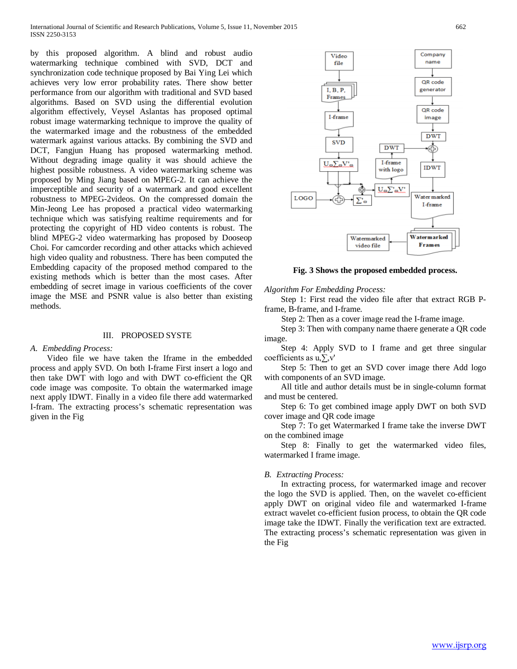by this proposed algorithm. A blind and robust audio watermarking technique combined with SVD, DCT and synchronization code technique proposed by Bai Ying Lei which achieves very low error probability rates. There show better performance from our algorithm with traditional and SVD based algorithms. Based on SVD using the differential evolution algorithm effectively, Veysel Aslantas has proposed optimal robust image watermarking technique to improve the quality of the watermarked image and the robustness of the embedded watermark against various attacks. By combining the SVD and DCT, Fangjun Huang has proposed watermarking method. Without degrading image quality it was should achieve the highest possible robustness. A video watermarking scheme was proposed by Ming Jiang based on MPEG-2. It can achieve the imperceptible and security of a watermark and good excellent robustness to MPEG-2videos. On the compressed domain the Min-Jeong Lee has proposed a practical video watermarking technique which was satisfying realtime requirements and for protecting the copyright of HD video contents is robust. The blind MPEG-2 video watermarking has proposed by Dooseop Choi. For camcorder recording and other attacks which achieved high video quality and robustness. There has been computed the Embedding capacity of the proposed method compared to the existing methods which is better than the most cases. After embedding of secret image in various coefficients of the cover image the MSE and PSNR value is also better than existing methods.

## III. PROPOSED SYSTE

# *A. Embedding Process:*

 Video file we have taken the Iframe in the embedded process and apply SVD. On both I-frame First insert a logo and then take DWT with logo and with DWT co-efficient the QR code image was composite. To obtain the watermarked image next apply IDWT. Finally in a video file there add watermarked I-fram. The extracting process's schematic representation was given in the Fig



**Fig. 3 Shows the proposed embedded process.**

*Algorithm For Embedding Process:* 

 Step 1: First read the video file after that extract RGB Pframe, B-frame, and I-frame.

Step 2: Then as a cover image read the I-frame image.

 Step 3: Then with company name thaere generate a QR code image.

 Step 4: Apply SVD to I frame and get three singular coefficients as  $u, \sum v'$ 

 Step 5: Then to get an SVD cover image there Add logo with components of an SVD image.

 All title and author details must be in single-column format and must be centered.

 Step 6: To get combined image apply DWT on both SVD cover image and QR code image

 Step 7: To get Watermarked I frame take the inverse DWT on the combined image

 Step 8: Finally to get the watermarked video files, watermarked I frame image.

#### *B. Extracting Process:*

 In extracting process, for watermarked image and recover the logo the SVD is applied. Then, on the wavelet co-efficient apply DWT on original video file and watermarked I-frame extract wavelet co-efficient fusion process, to obtain the QR code image take the IDWT. Finally the verification text are extracted. The extracting process's schematic representation was given in the Fig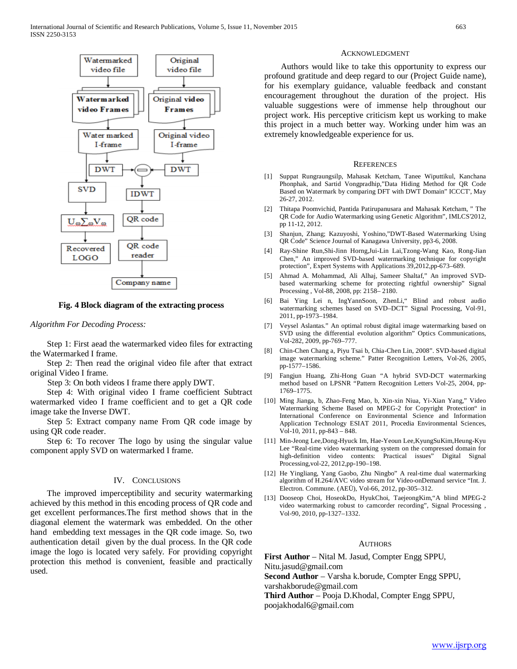

## **Fig. 4 Block diagram of the extracting process**

*Algorithm For Decoding Process:*

 Step 1: First aead the watermarked video files for extracting the Watermarked I frame.

 Step 2: Then read the original video file after that extract original Video I frame.

Step 3: On both videos I frame there apply DWT.

 Step 4: With original video I frame coefficient Subtract watermarked video I frame coefficient and to get a QR code image take the Inverse DWT.

 Step 5: Extract company name From QR code image by using QR code reader.

 Step 6: To recover The logo by using the singular value component apply SVD on watermarked I frame.

# IV. CONCLUSIONS

 The improved imperceptibility and security watermarking achieved by this method in this encoding process of QR code and get excellent performances.The first method shows that in the diagonal element the watermark was embedded. On the other hand embedding text messages in the QR code image. So, two authentication detail given by the dual process. In the QR code image the logo is located very safely. For providing copyright protection this method is convenient, feasible and practically used.

#### ACKNOWLEDGMENT

 Authors would like to take this opportunity to express our profound gratitude and deep regard to our (Project Guide name), for his exemplary guidance, valuable feedback and constant encouragement throughout the duration of the project. His valuable suggestions were of immense help throughout our project work. His perceptive criticism kept us working to make this project in a much better way. Working under him was an extremely knowledgeable experience for us.

#### **REFERENCES**

- [1] Suppat Rungraungsilp, Mahasak Ketcham, Tanee Wiputtikul, Kanchana Phonphak, and Sartid Vongpradhip,"Data Hiding Method for QR Code Based on Watermark by comparing DFT with DWT Domain" ICCCT', May 26-27, 2012.
- [2] Thitapa Poomvichid, Pantida Patirupanusara and Mahasak Ketcham, " The QR Code for Audio Watermarking using Genetic Algorithm", IMLCS'2012, pp 11-12, 2012.
- [3] Shanjun, Zhang; Kazuyoshi, Yoshino,"DWT-Based Watermarking Using QR Code" Science Journal of Kanagawa University, pp3-6, 2008.
- [4] Ray-Shine Run,Shi-Jinn Horng,Jui-Lin Lai,Tzong-Wang Kao, Rong-Jian Chen," An improved SVD-based watermarking technique for copyright protection", Expert Systems with Applications 39,2012,pp-673–689.
- [5] Ahmad A. Mohammad, Ali Alhaj, Sameer Shaltaf," An improved SVDbased watermarking scheme for protecting rightful ownership" Signal Processing , Vol-88, 2008, pp: 2158– 2180.
- [6] Bai Ying Lei n, IngYannSoon, ZhenLi," Blind and robust audio watermarking schemes based on SVD–DCT" Signal Processing, Vol-91, 2011, pp-1973–1984.
- [7] Veysel Aslantas." An optimal robust digital image watermarking based on SVD using the differential evolution algorithm" Optics Communications, Vol-282, 2009, pp-769–777.
- [8] Chin-Chen Chang a, Piyu Tsai b, Chia-Chen Lin, 2008". SVD-based digital image watermarking scheme." Patter Recognition Letters, Vol-26, 2005, pp-1577–1586.
- [9] Fangjun Huang, Zhi-Hong Guan "A hybrid SVD-DCT watermarking method based on LPSNR "Pattern Recognition Letters Vol-25, 2004, pp-1769–1775.
- [10] Ming Jianga, b, Zhao-Feng Mao, b, Xin-xin Niua, Yi-Xian Yang," Video Watermarking Scheme Based on MPEG-2 for Copyright Protection" in International Conference on Environmental Science and Information Application Technology ESIAT 2011, Procedia Environmental Sciences, Vol-10, 2011, pp-843 – 848.
- [11] Min-Jeong Lee,Dong-Hyuck Im, Hae-Yeoun Lee,KyungSuKim,Heung-Kyu Lee "Real-time video watermarking system on the compressed domain for high-definition video contents: Practical issues" Digital Signal Processing,vol-22, 2012,pp-190–198.
- [12] He Yingliang, Yang Gaobo, Zhu Ningbo" A real-time dual watermarking algorithm of H.264/AVC video stream for Video-onDemand service "Int. J. Electron. Commune. (AEÜ), Vol-66, 2012, pp-305–312.
- [13] Dooseop Choi, HoseokDo, HyukChoi, TaejeongKim,"A blind MPEG-2 video watermarking robust to camcorder recording", Signal Processing , Vol-90, 2010, pp-1327–1332.

### AUTHORS

**First Author** – Nital M. Jasud, Compter Engg SPPU,

Nitu.jasud@gmail.com

**Second Author** – Varsha k.borude, Compter Engg SPPU, varshakborude@gmail.com

**Third Author** – Pooja D.Khodal, Compter Engg SPPU, poojakhodal6@gmail.com